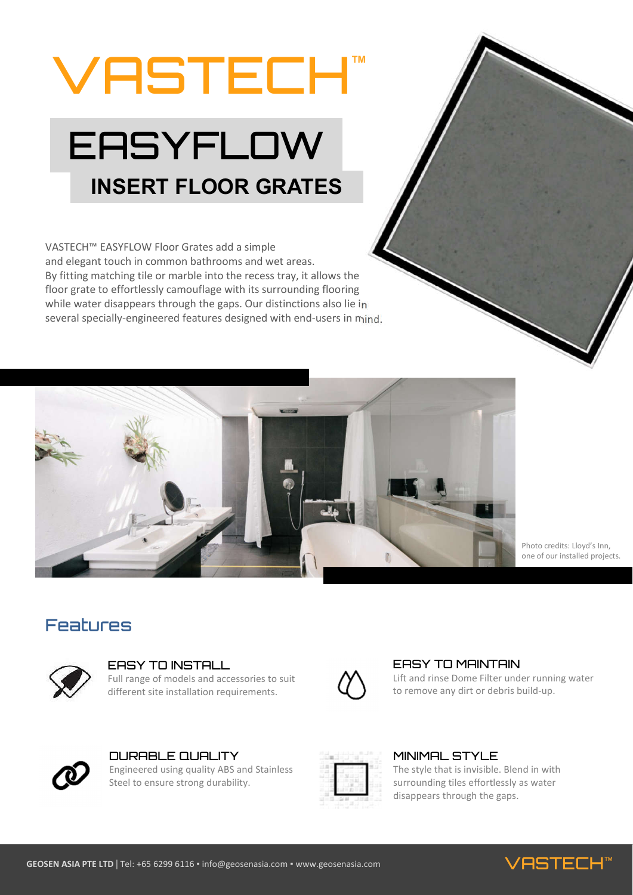# VASTECH**™**

# **EASYFLOW INSERT FLOOR GRATES**

VASTECH™ EASYFLOW Floor Grates add a simple and elegant touch in common bathrooms and wet areas. By fitting matching tile or marble into the recess tray, it allows the floor grate to effortlessly camouflage with its surrounding flooring while water disappears through the gaps. Our distinctions also lie in several specially-engineered features designed with end-users in mind.



Photo credits: Lloyd's Inn, one of our installed projects.

### Features



#### EASY TO INSTALL

Full range of models and accessories to suit different site installation requirements.



#### EASY TO MAINTAIN

Lift and rinse Dome Filter under running water to remove any dirt or debris build-up.



DURABLE QUALITY Engineered using quality ABS and Stainless Steel to ensure strong durability.



#### MINIMAL STYLE

The style that is invisible. Blend in with surrounding tiles effortlessly as water disappears through the gaps.



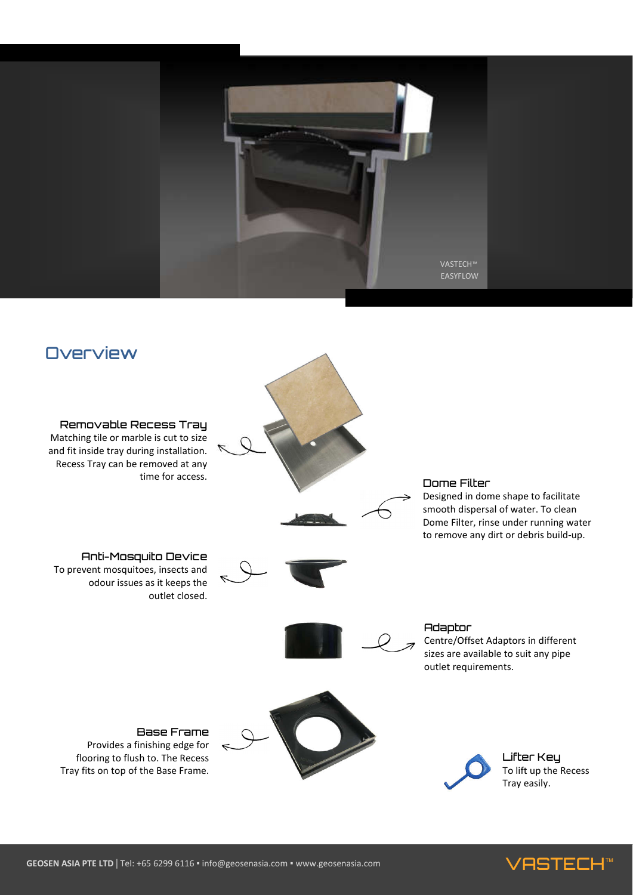



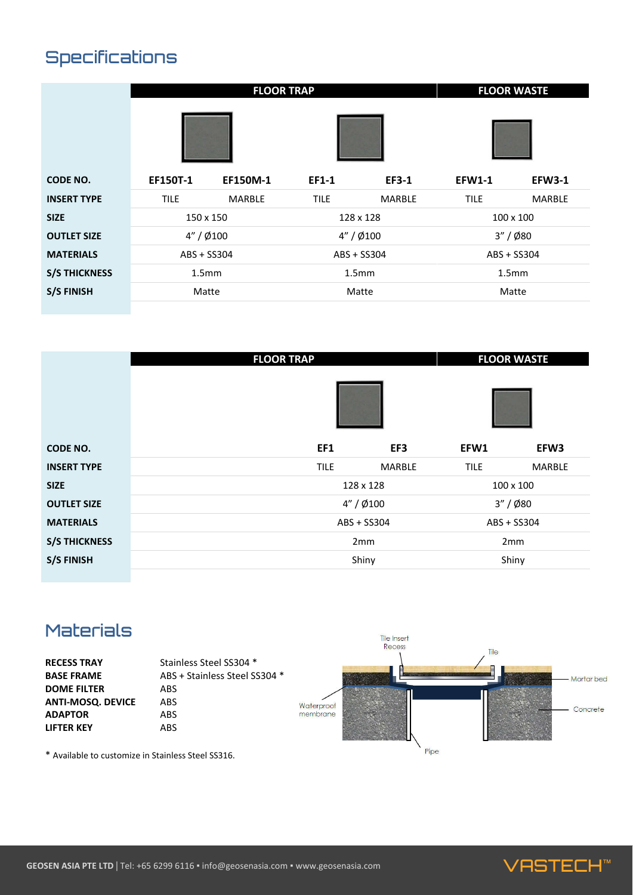# Specifications

|                      | <b>FLOOR TRAP</b> |                 |                   |               | <b>FLOOR WASTE</b> |               |
|----------------------|-------------------|-----------------|-------------------|---------------|--------------------|---------------|
|                      |                   |                 |                   |               |                    |               |
| <b>CODE NO.</b>      | EF150T-1          | <b>EF150M-1</b> | EF1-1             | <b>EF3-1</b>  | <b>EFW1-1</b>      | <b>EFW3-1</b> |
| <b>INSERT TYPE</b>   | <b>TILE</b>       | <b>MARBLE</b>   | <b>TILE</b>       | <b>MARBLE</b> | <b>TILE</b>        | <b>MARBLE</b> |
| <b>SIZE</b>          | 150 x 150         |                 | 128 x 128         |               | 100 x 100          |               |
| <b>OUTLET SIZE</b>   | $4'' / \phi$ 100  |                 | 4'' / 0/100       |               | 3'' / 680          |               |
| <b>MATERIALS</b>     | ABS + SS304       |                 | ABS + SS304       |               | ABS + SS304        |               |
| <b>S/S THICKNESS</b> | 1.5 <sub>mm</sub> |                 | 1.5 <sub>mm</sub> |               | 1.5 <sub>mm</sub>  |               |
| <b>S/S FINISH</b>    | Matte             |                 | Matte             |               | Matte              |               |

|                      | <b>FLOOR TRAP</b>            | <b>FLOOR WASTE</b>           |  |
|----------------------|------------------------------|------------------------------|--|
|                      |                              |                              |  |
| <b>CODE NO.</b>      | EF1<br>EF3                   | EFW1<br>EFW3                 |  |
| <b>INSERT TYPE</b>   | <b>TILE</b><br><b>MARBLE</b> | <b>TILE</b><br><b>MARBLE</b> |  |
| <b>SIZE</b>          | 128 x 128                    | 100 x 100                    |  |
| <b>OUTLET SIZE</b>   | $4'' / \emptyset$ 100        | $3'' / \phi$ 80              |  |
| <b>MATERIALS</b>     | ABS + SS304                  | ABS + SS304                  |  |
| <b>S/S THICKNESS</b> | 2 <sub>mm</sub>              | 2 <sub>mm</sub>              |  |
| <b>S/S FINISH</b>    | Shiny                        | Shiny                        |  |

## Materials



\* Available to customize in Stainless Steel SS316.